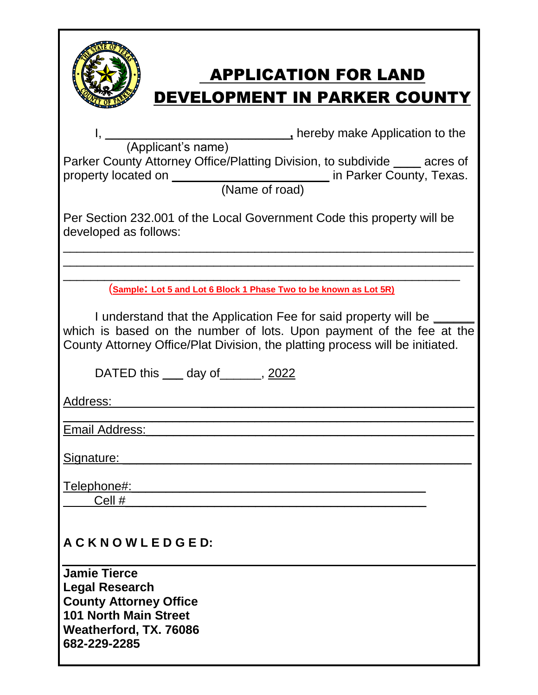| <b>APPLICATION FOR LAND</b><br><b>DEVELOPMENT IN PARKER COUNTY</b>                                                                                                                                                          |  |  |  |  |
|-----------------------------------------------------------------------------------------------------------------------------------------------------------------------------------------------------------------------------|--|--|--|--|
|                                                                                                                                                                                                                             |  |  |  |  |
| Parker County Attorney Office/Platting Division, to subdivide ____ acres of                                                                                                                                                 |  |  |  |  |
| Per Section 232.001 of the Local Government Code this property will be<br>developed as follows:                                                                                                                             |  |  |  |  |
|                                                                                                                                                                                                                             |  |  |  |  |
| (Sample: Lot 5 and Lot 6 Block 1 Phase Two to be known as Lot 5R)                                                                                                                                                           |  |  |  |  |
| I understand that the Application Fee for said property will be __<br>which is based on the number of lots. Upon payment of the fee at the<br>County Attorney Office/Plat Division, the platting process will be initiated. |  |  |  |  |
| DATED this ____ day of _______, 2022                                                                                                                                                                                        |  |  |  |  |
| Address:                                                                                                                                                                                                                    |  |  |  |  |
| <u>Email Address:</u>                                                                                                                                                                                                       |  |  |  |  |
|                                                                                                                                                                                                                             |  |  |  |  |
| <u>Signature:</u>                                                                                                                                                                                                           |  |  |  |  |
| Telephone#:                                                                                                                                                                                                                 |  |  |  |  |
| Cell #                                                                                                                                                                                                                      |  |  |  |  |
| ACKNOWLEDGED:                                                                                                                                                                                                               |  |  |  |  |
| <b>Jamie Tierce</b><br><b>Legal Research</b><br><b>County Attorney Office</b><br><b>101 North Main Street</b><br>Weatherford, TX. 76086<br>682-229-2285                                                                     |  |  |  |  |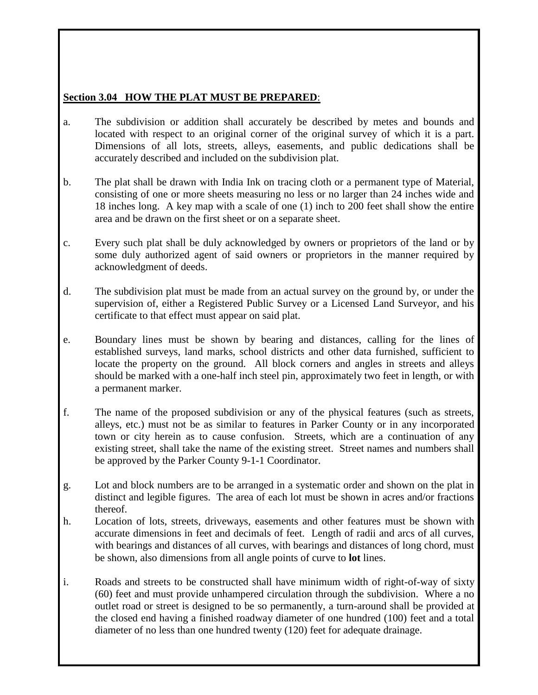## **Section 3.04 HOW THE PLAT MUST BE PREPARED**:

- a. The subdivision or addition shall accurately be described by metes and bounds and located with respect to an original corner of the original survey of which it is a part. Dimensions of all lots, streets, alleys, easements, and public dedications shall be accurately described and included on the subdivision plat.
- b. The plat shall be drawn with India Ink on tracing cloth or a permanent type of Material, consisting of one or more sheets measuring no less or no larger than 24 inches wide and 18 inches long. A key map with a scale of one (1) inch to 200 feet shall show the entire area and be drawn on the first sheet or on a separate sheet.
- c. Every such plat shall be duly acknowledged by owners or proprietors of the land or by some duly authorized agent of said owners or proprietors in the manner required by acknowledgment of deeds.
- d. The subdivision plat must be made from an actual survey on the ground by, or under the supervision of, either a Registered Public Survey or a Licensed Land Surveyor, and his certificate to that effect must appear on said plat.
- e. Boundary lines must be shown by bearing and distances, calling for the lines of established surveys, land marks, school districts and other data furnished, sufficient to locate the property on the ground. All block corners and angles in streets and alleys should be marked with a one-half inch steel pin, approximately two feet in length, or with a permanent marker.
- f. The name of the proposed subdivision or any of the physical features (such as streets, alleys, etc.) must not be as similar to features in Parker County or in any incorporated town or city herein as to cause confusion. Streets, which are a continuation of any existing street, shall take the name of the existing street. Street names and numbers shall be approved by the Parker County 9-1-1 Coordinator.
- g. Lot and block numbers are to be arranged in a systematic order and shown on the plat in distinct and legible figures. The area of each lot must be shown in acres and/or fractions thereof.
- h. Location of lots, streets, driveways, easements and other features must be shown with accurate dimensions in feet and decimals of feet. Length of radii and arcs of all curves, with bearings and distances of all curves, with bearings and distances of long chord, must be shown, also dimensions from all angle points of curve to **lot** lines.
- i. Roads and streets to be constructed shall have minimum width of right-of-way of sixty (60) feet and must provide unhampered circulation through the subdivision. Where a no outlet road or street is designed to be so permanently, a turn-around shall be provided at the closed end having a finished roadway diameter of one hundred (100) feet and a total diameter of no less than one hundred twenty (120) feet for adequate drainage.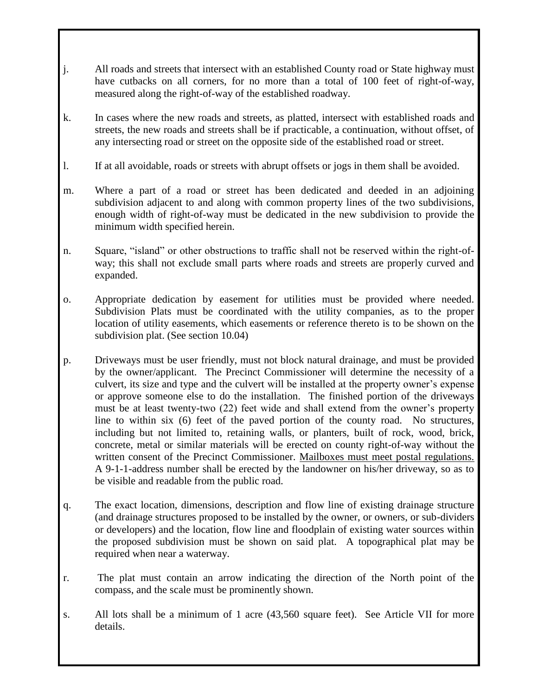- j. All roads and streets that intersect with an established County road or State highway must have cutbacks on all corners, for no more than a total of 100 feet of right-of-way, measured along the right-of-way of the established roadway.
- k. In cases where the new roads and streets, as platted, intersect with established roads and streets, the new roads and streets shall be if practicable, a continuation, without offset, of any intersecting road or street on the opposite side of the established road or street.
- l. If at all avoidable, roads or streets with abrupt offsets or jogs in them shall be avoided.
- m. Where a part of a road or street has been dedicated and deeded in an adjoining subdivision adjacent to and along with common property lines of the two subdivisions, enough width of right-of-way must be dedicated in the new subdivision to provide the minimum width specified herein.
- n. Square, "island" or other obstructions to traffic shall not be reserved within the right-ofway; this shall not exclude small parts where roads and streets are properly curved and expanded.
- o. Appropriate dedication by easement for utilities must be provided where needed. Subdivision Plats must be coordinated with the utility companies, as to the proper location of utility easements, which easements or reference thereto is to be shown on the subdivision plat. (See section 10.04)
- p. Driveways must be user friendly, must not block natural drainage, and must be provided by the owner/applicant. The Precinct Commissioner will determine the necessity of a culvert, its size and type and the culvert will be installed at the property owner's expense or approve someone else to do the installation. The finished portion of the driveways must be at least twenty-two (22) feet wide and shall extend from the owner's property line to within six (6) feet of the paved portion of the county road. No structures, including but not limited to, retaining walls, or planters, built of rock, wood, brick, concrete, metal or similar materials will be erected on county right-of-way without the written consent of the Precinct Commissioner. Mailboxes must meet postal regulations. A 9-1-1-address number shall be erected by the landowner on his/her driveway, so as to be visible and readable from the public road.
- q. The exact location, dimensions, description and flow line of existing drainage structure (and drainage structures proposed to be installed by the owner, or owners, or sub-dividers or developers) and the location, flow line and floodplain of existing water sources within the proposed subdivision must be shown on said plat. A topographical plat may be required when near a waterway.
- r. The plat must contain an arrow indicating the direction of the North point of the compass, and the scale must be prominently shown.
- s. All lots shall be a minimum of 1 acre (43,560 square feet). See Article VII for more details.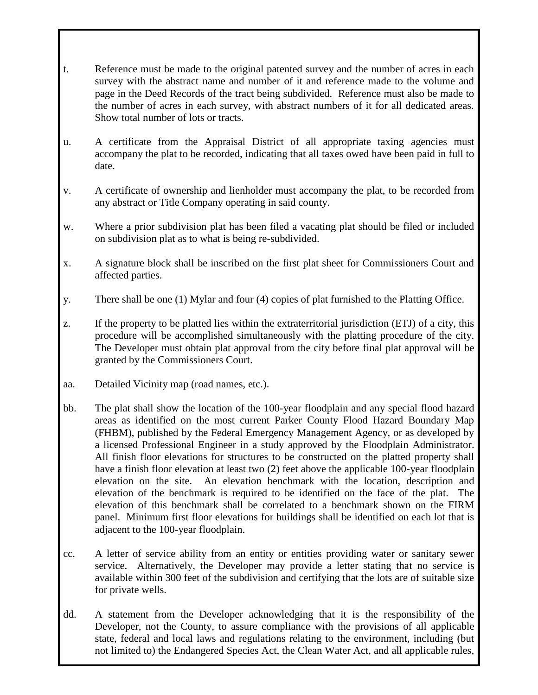- t. Reference must be made to the original patented survey and the number of acres in each survey with the abstract name and number of it and reference made to the volume and page in the Deed Records of the tract being subdivided. Reference must also be made to the number of acres in each survey, with abstract numbers of it for all dedicated areas. Show total number of lots or tracts.
- u. A certificate from the Appraisal District of all appropriate taxing agencies must accompany the plat to be recorded, indicating that all taxes owed have been paid in full to date.
- v. A certificate of ownership and lienholder must accompany the plat, to be recorded from any abstract or Title Company operating in said county.
- w. Where a prior subdivision plat has been filed a vacating plat should be filed or included on subdivision plat as to what is being re-subdivided.
- x. A signature block shall be inscribed on the first plat sheet for Commissioners Court and affected parties.
- y. There shall be one (1) Mylar and four (4) copies of plat furnished to the Platting Office.
- z. If the property to be platted lies within the extraterritorial jurisdiction (ETJ) of a city, this procedure will be accomplished simultaneously with the platting procedure of the city. The Developer must obtain plat approval from the city before final plat approval will be granted by the Commissioners Court.
- aa. Detailed Vicinity map (road names, etc.).
- bb. The plat shall show the location of the 100-year floodplain and any special flood hazard areas as identified on the most current Parker County Flood Hazard Boundary Map (FHBM), published by the Federal Emergency Management Agency, or as developed by a licensed Professional Engineer in a study approved by the Floodplain Administrator. All finish floor elevations for structures to be constructed on the platted property shall have a finish floor elevation at least two (2) feet above the applicable 100-year floodplain elevation on the site. An elevation benchmark with the location, description and elevation of the benchmark is required to be identified on the face of the plat. The elevation of this benchmark shall be correlated to a benchmark shown on the FIRM panel. Minimum first floor elevations for buildings shall be identified on each lot that is adjacent to the 100-year floodplain.
- cc. A letter of service ability from an entity or entities providing water or sanitary sewer service. Alternatively, the Developer may provide a letter stating that no service is available within 300 feet of the subdivision and certifying that the lots are of suitable size for private wells.
- dd. A statement from the Developer acknowledging that it is the responsibility of the Developer, not the County, to assure compliance with the provisions of all applicable state, federal and local laws and regulations relating to the environment, including (but not limited to) the Endangered Species Act, the Clean Water Act, and all applicable rules,